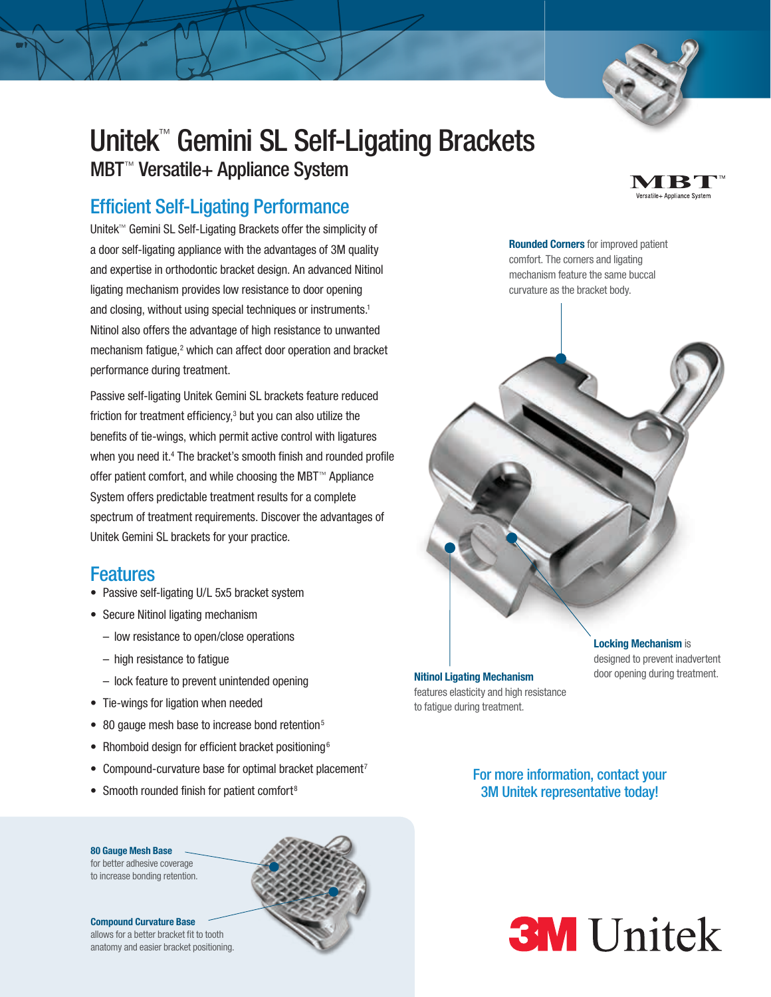

4 B T ersatile+ Appliance Systen

# Unitek™ Gemini SL Self-Ligating Brackets

MBT™ Versatile+ Appliance System

## Efficient Self-Ligating Performance

Unitek™ Gemini SL Self-Ligating Brackets offer the simplicity of a door self-ligating appliance with the advantages of 3M quality and expertise in orthodontic bracket design. An advanced Nitinol ligating mechanism provides low resistance to door opening and closing, without using special techniques or instruments.<sup>1</sup> Nitinol also offers the advantage of high resistance to unwanted mechanism fatigue,<sup>2</sup> which can affect door operation and bracket performance during treatment.

Passive self-ligating Unitek Gemini SL brackets feature reduced friction for treatment efficiency,3 but you can also utilize the benefits of tie-wings, which permit active control with ligatures when you need it.<sup>4</sup> The bracket's smooth finish and rounded profile offer patient comfort, and while choosing the MBT™ Appliance System offers predictable treatment results for a complete spectrum of treatment requirements. Discover the advantages of Unitek Gemini SL brackets for your practice.

## Features

- Passive self-ligating U/L 5x5 bracket system
- Secure Nitinol ligating mechanism
	- low resistance to open/close operations
	- high resistance to fatigue
	- lock feature to prevent unintended opening
- Tie-wings for ligation when needed
- 80 gauge mesh base to increase bond retention<sup>5</sup>
- Rhomboid design for efficient bracket positioning<sup>6</sup>
- Compound-curvature base for optimal bracket placement<sup>7</sup>
- Smooth rounded finish for patient comfort<sup>8</sup>

#### 80 Gauge Mesh Base

for better adhesive coverage to increase bonding retention.

#### Compound Curvature Base

allows for a better bracket fit to tooth anatomy and easier bracket positioning.



Rounded Corners for improved patient comfort. The corners and ligating

mechanism feature the same buccal curvature as the bracket body.



**Locking Mechanism is** designed to prevent inadvertent

For more information, contact your 3M Unitek representative today!